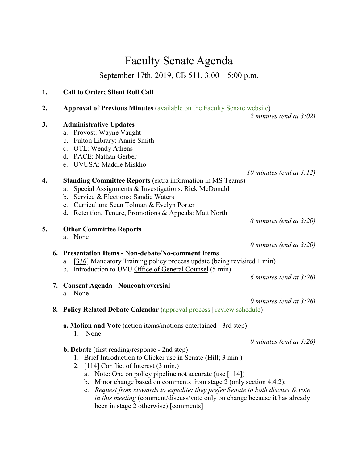## Faculty Senate Agenda

September 17th, 2019, CB 511, 3:00 – 5:00 p.m.

| 1. |    | <b>Call to Order; Silent Roll Call</b>                                                                                                                                                                                                                                                                                                                                                                                                                                                                                                                                               |                             |
|----|----|--------------------------------------------------------------------------------------------------------------------------------------------------------------------------------------------------------------------------------------------------------------------------------------------------------------------------------------------------------------------------------------------------------------------------------------------------------------------------------------------------------------------------------------------------------------------------------------|-----------------------------|
| 2. |    | <b>Approval of Previous Minutes (available on the Faculty Senate website)</b>                                                                                                                                                                                                                                                                                                                                                                                                                                                                                                        | 2 minutes (end at $3:02$ )  |
| 3. |    | <b>Administrative Updates</b><br>a. Provost: Wayne Vaught<br>b. Fulton Library: Annie Smith<br>c. OTL: Wendy Athens<br>d. PACE: Nathan Gerber                                                                                                                                                                                                                                                                                                                                                                                                                                        |                             |
| 4. |    | e. UVUSA: Maddie Miskho<br><b>Standing Committee Reports (extra information in MS Teams)</b><br>Special Assignments & Investigations: Rick McDonald<br>a.<br>Service & Elections: Sandie Waters<br>$\mathbf{b}$ .<br>c. Curriculum: Sean Tolman & Evelyn Porter<br>d. Retention, Tenure, Promotions & Appeals: Matt North                                                                                                                                                                                                                                                            | 10 minutes (end at $3:12$ ) |
| 5. |    | <b>Other Committee Reports</b><br>a. None                                                                                                                                                                                                                                                                                                                                                                                                                                                                                                                                            | 8 minutes (end at 3:20)     |
|    |    | 6. Presentation Items - Non-debate/No-comment Items<br>[336] Mandatory Training policy process update (being revisited 1 min)<br>a.<br>b. Introduction to UVU Office of General Counsel (5 min)                                                                                                                                                                                                                                                                                                                                                                                      | 0 minutes (end at $3:20$ )  |
|    |    | 7. Consent Agenda - Noncontroversial<br>a. None                                                                                                                                                                                                                                                                                                                                                                                                                                                                                                                                      | 6 minutes (end at $3:26$ )  |
|    | 8. | <b>Policy Related Debate Calendar (approval process   review schedule)</b>                                                                                                                                                                                                                                                                                                                                                                                                                                                                                                           | 0 minutes (end at $3:26$ )  |
|    |    | a. Motion and Vote (action items/motions entertained - 3rd step)<br>None<br>1.<br><b>b. Debate</b> (first reading/response - 2nd step)<br>Brief Introduction to Clicker use in Senate (Hill; 3 min.)<br>1.<br>$[114]$ Conflict of Interest (3 min.)<br>2.<br>a. Note: One on policy pipeline not accurate (use $[114]$ )<br>Minor change based on comments from stage 2 (only section 4.4.2);<br>$\mathbf{b}$ .<br>Request from stewards to expedite: they prefer Senate to both discuss & vote<br>c.<br>in this meeting (comment/discuss/vote only on change because it has already | 0 minutes (end at $3:26$ )  |

been in stage 2 otherwise) [\[comments\]](https://docs.google.com/document/d/1kcfm4Dq08-900NO-wfFMbg6TdF5yxWfH6dgV8FTLlro/edit?usp=sharing)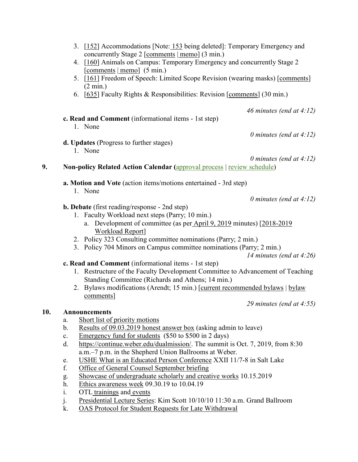|     | 3. [152] Accommodations [Note: 153 being deleted]: Temporary Emergency and                               |
|-----|----------------------------------------------------------------------------------------------------------|
|     | concurrently Stage 2 [comments   memo] (3 min.)                                                          |
|     | 4. [160] Animals on Campus: Temporary Emergency and concurrently Stage 2<br>$[comments   memo]$ (5 min.) |
|     | 5. [161] Freedom of Speech: Limited Scope Revision (wearing masks) [comments]                            |
|     | $(2 \text{ min.})$                                                                                       |
|     | 6. [635] Faculty Rights & Responsibilities: Revision [comments] (30 min.)                                |
|     | 46 minutes (end at $4:12$ )                                                                              |
|     | c. Read and Comment (informational items - 1st step)                                                     |
|     | 1. None                                                                                                  |
|     | 0 minutes (end at $4:12$ )                                                                               |
|     | d. Updates (Progress to further stages)                                                                  |
|     | 1. None                                                                                                  |
|     | 0 minutes (end at $4:12$ )                                                                               |
| 9.  | <b>Non-policy Related Action Calendar (approval process   review schedule)</b>                           |
|     |                                                                                                          |
|     | a. Motion and Vote (action items/motions entertained - 3rd step)                                         |
|     | 1. None                                                                                                  |
|     | 0 minutes (end at $4:12$ )                                                                               |
|     | <b>b. Debate</b> (first reading/response - 2nd step)                                                     |
|     | 1. Faculty Workload next steps (Parry; 10 min.)                                                          |
|     | a. Development of committee (as per April 9, 2019 minutes) [2018-2019                                    |
|     | <b>Workload Report]</b>                                                                                  |
|     | 2. Policy 323 Consulting committee nominations (Parry; 2 min.)                                           |
|     | 3. Policy 704 Minors on Campus committee nominations (Parry; 2 min.)                                     |
|     | 14 minutes (end at $4:26$ )                                                                              |
|     | c. Read and Comment (informational items - 1st step)                                                     |
|     | 1. Restructure of the Faculty Development Committee to Advancement of Teaching                           |
|     | Standing Committee (Richards and Athens; 14 min.)                                                        |
|     | 2. Bylaws modifications (Arendt; 15 min.) [current recommended bylaws   bylaw                            |
|     | comments]                                                                                                |
|     | 29 minutes (end at $4:55$ )                                                                              |
| 10. | <b>Announcements</b>                                                                                     |
|     | Short list of priority motions<br>a.                                                                     |
|     | Results of 09.03.2019 honest answer box (asking admin to leave)<br>b.                                    |
|     | Emergency fund for students (\$50 to \$500 in 2 days)<br>c.                                              |
|     | https://continue.weber.edu/dualmission/. The summit is Oct. 7, 2019, from 8:30<br>d.                     |
|     | a.m.–7 p.m. in the Shepherd Union Ballrooms at Weber.                                                    |
|     | USHE What is an Educated Person Conference XXII 11/7-8 in Salt Lake<br>e.                                |
|     |                                                                                                          |

- f. [Office of General Counsel September briefing](https://uvu.box.com/s/4ixuyv82buz22377xzoibqgxnqb3o15u)
- g. [Showcase of undergraduate scholarly and creative works](https://www.uvu.edu/sculpt/events/showcase.html) 10.15.2019
- h. [Ethics awareness week](https://www.uvu.edu/ethics/events/2019/2019_eaw_ethics_technology_society.html) 09.30.19 to 10.04.19
- i. OTL [trainings](https://www.uvu.edu/otl/faculty/index.html) and [events](https://www.uvu.edu/otl/calendar/index.html)

**10.** 

- j. [Presidential Lecture Series:](https://www.uvu.edu/president/events.html) Kim Scott 10/10/10 11:30 a.m. Grand Ballroom
- k. [OAS Protocol for Student Requests for Late Withdrawal](https://uvu.box.com/s/2y4qmvgnzp9h1aok2sblv7nfncsmtp7e)